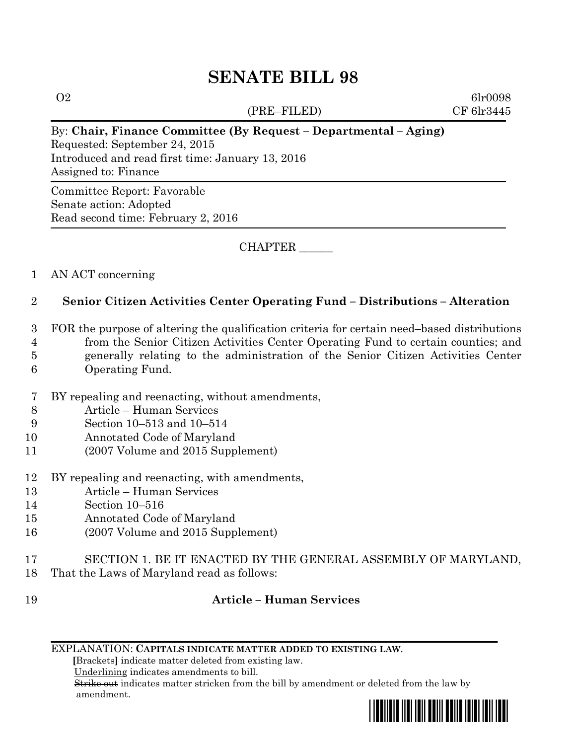# **SENATE BILL 98**

(PRE–FILED) CF 6lr3445

 $\Omega$  6lr0098

#### By: **Chair, Finance Committee (By Request – Departmental – Aging)**

Requested: September 24, 2015 Introduced and read first time: January 13, 2016 Assigned to: Finance

Committee Report: Favorable Senate action: Adopted Read second time: February 2, 2016

CHAPTER \_\_\_\_\_\_

### 1 AN ACT concerning

## 2 **Senior Citizen Activities Center Operating Fund – Distributions – Alteration**

- 3 FOR the purpose of altering the qualification criteria for certain need–based distributions 4 from the Senior Citizen Activities Center Operating Fund to certain counties; and 5 generally relating to the administration of the Senior Citizen Activities Center 6 Operating Fund.
- 7 BY repealing and reenacting, without amendments,
- 8 Article Human Services
- 9 Section 10–513 and 10–514
- 10 Annotated Code of Maryland
- 11 (2007 Volume and 2015 Supplement)
- 12 BY repealing and reenacting, with amendments,
- 13 Article Human Services
- 14 Section 10–516
- 15 Annotated Code of Maryland
- 16 (2007 Volume and 2015 Supplement)
- 17 SECTION 1. BE IT ENACTED BY THE GENERAL ASSEMBLY OF MARYLAND,
- 18 That the Laws of Maryland read as follows:
- 19 **Article – Human Services**
	- EXPLANATION: **CAPITALS INDICATE MATTER ADDED TO EXISTING LAW**.

 **[**Brackets**]** indicate matter deleted from existing law.

Underlining indicates amendments to bill.

 Strike out indicates matter stricken from the bill by amendment or deleted from the law by amendment.

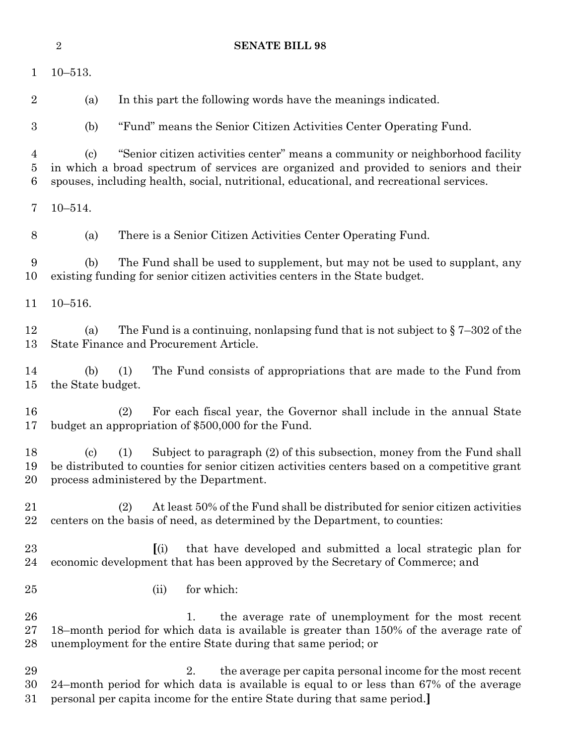|                                | $\overline{2}$                                                                                                                                                                                                                                                                                  | <b>SENATE BILL 98</b>                                                                                                                                                                                                                   |
|--------------------------------|-------------------------------------------------------------------------------------------------------------------------------------------------------------------------------------------------------------------------------------------------------------------------------------------------|-----------------------------------------------------------------------------------------------------------------------------------------------------------------------------------------------------------------------------------------|
| $\mathbf{1}$                   | $10 - 513.$                                                                                                                                                                                                                                                                                     |                                                                                                                                                                                                                                         |
| $\overline{2}$                 | (a)                                                                                                                                                                                                                                                                                             | In this part the following words have the meanings indicated.                                                                                                                                                                           |
| $\boldsymbol{3}$               | (b)                                                                                                                                                                                                                                                                                             | "Fund" means the Senior Citizen Activities Center Operating Fund.                                                                                                                                                                       |
| $\overline{4}$<br>$\bf 5$<br>6 | "Senior citizen activities center" means a community or neighborhood facility<br>$\left( \mathrm{c}\right)$<br>in which a broad spectrum of services are organized and provided to seniors and their<br>spouses, including health, social, nutritional, educational, and recreational services. |                                                                                                                                                                                                                                         |
| 7                              | $10 - 514.$                                                                                                                                                                                                                                                                                     |                                                                                                                                                                                                                                         |
| 8                              | (a)                                                                                                                                                                                                                                                                                             | There is a Senior Citizen Activities Center Operating Fund.                                                                                                                                                                             |
| 9<br>10                        | The Fund shall be used to supplement, but may not be used to supplant, any<br>(b)<br>existing funding for senior citizen activities centers in the State budget.                                                                                                                                |                                                                                                                                                                                                                                         |
| 11                             | $10 - 516.$                                                                                                                                                                                                                                                                                     |                                                                                                                                                                                                                                         |
| 12<br>13                       | (a)                                                                                                                                                                                                                                                                                             | The Fund is a continuing, nonlapsing fund that is not subject to $\S 7-302$ of the<br>State Finance and Procurement Article.                                                                                                            |
| 14<br>15                       | (b)<br>the State budget.                                                                                                                                                                                                                                                                        | The Fund consists of appropriations that are made to the Fund from<br>(1)                                                                                                                                                               |
| 16<br>17                       |                                                                                                                                                                                                                                                                                                 | For each fiscal year, the Governor shall include in the annual State<br>(2)<br>budget an appropriation of \$500,000 for the Fund.                                                                                                       |
| 18<br>19<br>20                 | $\left( \mathrm{c}\right)$                                                                                                                                                                                                                                                                      | Subject to paragraph (2) of this subsection, money from the Fund shall<br>(1)<br>be distributed to counties for senior citizen activities centers based on a competitive grant<br>process administered by the Department.               |
| 21<br>$\bf{22}$                |                                                                                                                                                                                                                                                                                                 | At least 50% of the Fund shall be distributed for senior citizen activities<br>(2)<br>centers on the basis of need, as determined by the Department, to counties:                                                                       |
| 23<br>24                       |                                                                                                                                                                                                                                                                                                 | that have developed and submitted a local strategic plan for<br>(i)<br>economic development that has been approved by the Secretary of Commerce; and                                                                                    |
| 25                             |                                                                                                                                                                                                                                                                                                 | for which:<br>(ii)                                                                                                                                                                                                                      |
| 26<br>27<br>28                 |                                                                                                                                                                                                                                                                                                 | the average rate of unemployment for the most recent<br>1.<br>18-month period for which data is available is greater than 150% of the average rate of<br>unemployment for the entire State during that same period; or                  |
| 29<br>30<br>31                 |                                                                                                                                                                                                                                                                                                 | the average per capita personal income for the most recent<br>2.<br>24-month period for which data is available is equal to or less than 67% of the average<br>personal per capita income for the entire State during that same period. |